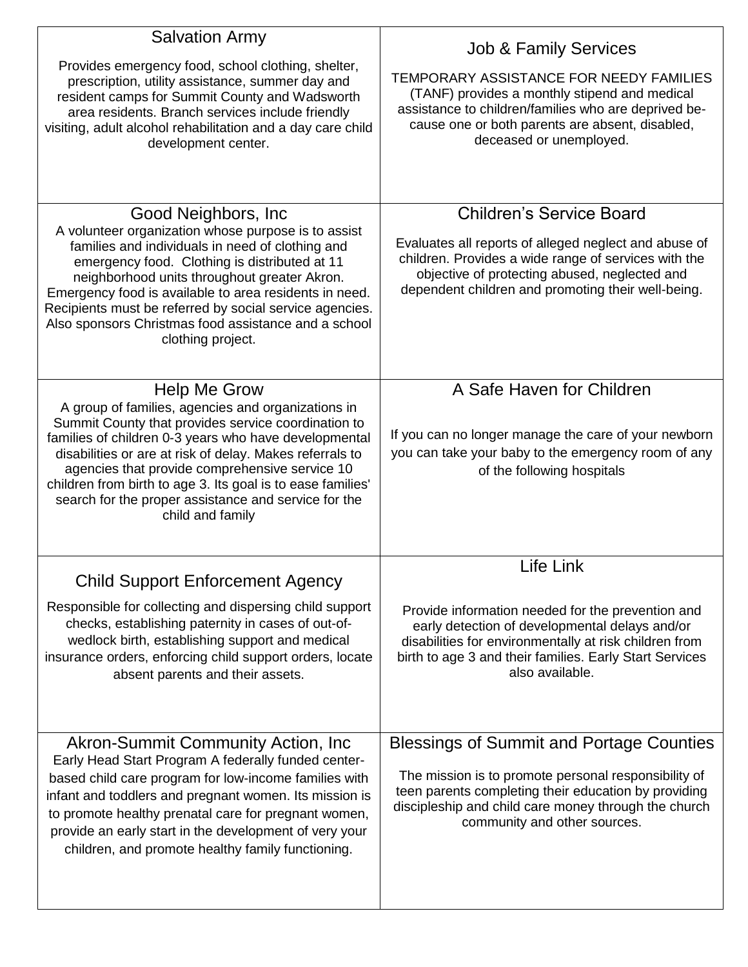| <b>Salvation Army</b><br>Provides emergency food, school clothing, shelter,<br>prescription, utility assistance, summer day and<br>resident camps for Summit County and Wadsworth<br>area residents. Branch services include friendly<br>visiting, adult alcohol rehabilitation and a day care child<br>development center.                                                                                                                        | <b>Job &amp; Family Services</b><br>TEMPORARY ASSISTANCE FOR NEEDY FAMILIES<br>(TANF) provides a monthly stipend and medical<br>assistance to children/families who are deprived be-<br>cause one or both parents are absent, disabled,<br>deceased or unemployed. |
|----------------------------------------------------------------------------------------------------------------------------------------------------------------------------------------------------------------------------------------------------------------------------------------------------------------------------------------------------------------------------------------------------------------------------------------------------|--------------------------------------------------------------------------------------------------------------------------------------------------------------------------------------------------------------------------------------------------------------------|
| Good Neighbors, Inc.<br>A volunteer organization whose purpose is to assist<br>families and individuals in need of clothing and<br>emergency food. Clothing is distributed at 11<br>neighborhood units throughout greater Akron.<br>Emergency food is available to area residents in need.<br>Recipients must be referred by social service agencies.<br>Also sponsors Christmas food assistance and a school<br>clothing project.                 | <b>Children's Service Board</b><br>Evaluates all reports of alleged neglect and abuse of<br>children. Provides a wide range of services with the<br>objective of protecting abused, neglected and<br>dependent children and promoting their well-being.            |
| <b>Help Me Grow</b><br>A group of families, agencies and organizations in<br>Summit County that provides service coordination to<br>families of children 0-3 years who have developmental<br>disabilities or are at risk of delay. Makes referrals to<br>agencies that provide comprehensive service 10<br>children from birth to age 3. Its goal is to ease families'<br>search for the proper assistance and service for the<br>child and family | A Safe Haven for Children<br>If you can no longer manage the care of your newborn<br>you can take your baby to the emergency room of any<br>of the following hospitals                                                                                             |
| <b>Child Support Enforcement Agency</b>                                                                                                                                                                                                                                                                                                                                                                                                            | Life Link                                                                                                                                                                                                                                                          |
| Responsible for collecting and dispersing child support<br>checks, establishing paternity in cases of out-of-<br>wedlock birth, establishing support and medical<br>insurance orders, enforcing child support orders, locate<br>absent parents and their assets.                                                                                                                                                                                   | Provide information needed for the prevention and<br>early detection of developmental delays and/or<br>disabilities for environmentally at risk children from<br>birth to age 3 and their families. Early Start Services<br>also available.                        |
| Akron-Summit Community Action, Inc.<br>Early Head Start Program A federally funded center-<br>based child care program for low-income families with<br>infant and toddlers and pregnant women. Its mission is<br>to promote healthy prenatal care for pregnant women,<br>provide an early start in the development of very your<br>children, and promote healthy family functioning.                                                               | <b>Blessings of Summit and Portage Counties</b><br>The mission is to promote personal responsibility of<br>teen parents completing their education by providing<br>discipleship and child care money through the church<br>community and other sources.            |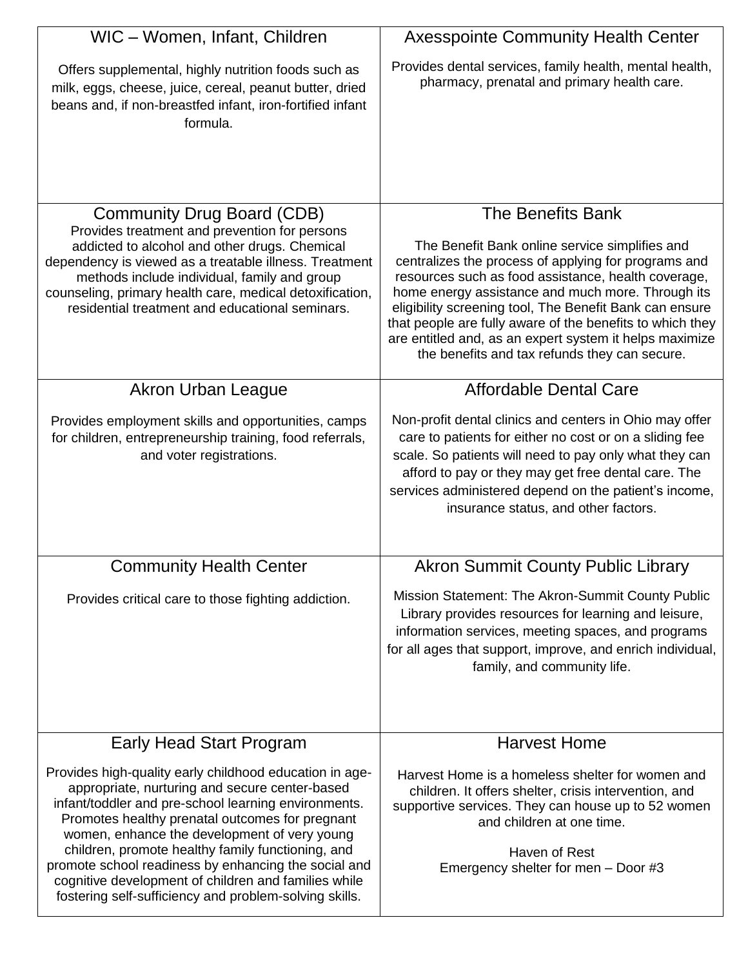| WIC - Women, Infant, Children                                                                                                                                                                                                                                                                                                                                                                                                                                                                       | <b>Axesspointe Community Health Center</b>                                                                                                                                                                                                                                                                                                                                                                                                             |
|-----------------------------------------------------------------------------------------------------------------------------------------------------------------------------------------------------------------------------------------------------------------------------------------------------------------------------------------------------------------------------------------------------------------------------------------------------------------------------------------------------|--------------------------------------------------------------------------------------------------------------------------------------------------------------------------------------------------------------------------------------------------------------------------------------------------------------------------------------------------------------------------------------------------------------------------------------------------------|
| Offers supplemental, highly nutrition foods such as<br>milk, eggs, cheese, juice, cereal, peanut butter, dried<br>beans and, if non-breastfed infant, iron-fortified infant<br>formula.                                                                                                                                                                                                                                                                                                             | Provides dental services, family health, mental health,<br>pharmacy, prenatal and primary health care.                                                                                                                                                                                                                                                                                                                                                 |
| Community Drug Board (CDB)                                                                                                                                                                                                                                                                                                                                                                                                                                                                          | <b>The Benefits Bank</b>                                                                                                                                                                                                                                                                                                                                                                                                                               |
| Provides treatment and prevention for persons<br>addicted to alcohol and other drugs. Chemical<br>dependency is viewed as a treatable illness. Treatment<br>methods include individual, family and group<br>counseling, primary health care, medical detoxification,<br>residential treatment and educational seminars.                                                                                                                                                                             | The Benefit Bank online service simplifies and<br>centralizes the process of applying for programs and<br>resources such as food assistance, health coverage,<br>home energy assistance and much more. Through its<br>eligibility screening tool, The Benefit Bank can ensure<br>that people are fully aware of the benefits to which they<br>are entitled and, as an expert system it helps maximize<br>the benefits and tax refunds they can secure. |
| Akron Urban League                                                                                                                                                                                                                                                                                                                                                                                                                                                                                  | <b>Affordable Dental Care</b>                                                                                                                                                                                                                                                                                                                                                                                                                          |
| Provides employment skills and opportunities, camps<br>for children, entrepreneurship training, food referrals,<br>and voter registrations.                                                                                                                                                                                                                                                                                                                                                         | Non-profit dental clinics and centers in Ohio may offer<br>care to patients for either no cost or on a sliding fee<br>scale. So patients will need to pay only what they can<br>afford to pay or they may get free dental care. The<br>services administered depend on the patient's income,<br>insurance status, and other factors.                                                                                                                   |
| <b>Community Health Center</b>                                                                                                                                                                                                                                                                                                                                                                                                                                                                      | <b>Akron Summit County Public Library</b>                                                                                                                                                                                                                                                                                                                                                                                                              |
| Provides critical care to those fighting addiction.                                                                                                                                                                                                                                                                                                                                                                                                                                                 | Mission Statement: The Akron-Summit County Public<br>Library provides resources for learning and leisure,<br>information services, meeting spaces, and programs<br>for all ages that support, improve, and enrich individual,<br>family, and community life.                                                                                                                                                                                           |
| <b>Early Head Start Program</b>                                                                                                                                                                                                                                                                                                                                                                                                                                                                     | <b>Harvest Home</b>                                                                                                                                                                                                                                                                                                                                                                                                                                    |
| Provides high-quality early childhood education in age-<br>appropriate, nurturing and secure center-based<br>infant/toddler and pre-school learning environments.<br>Promotes healthy prenatal outcomes for pregnant<br>women, enhance the development of very young<br>children, promote healthy family functioning, and<br>promote school readiness by enhancing the social and<br>cognitive development of children and families while<br>fostering self-sufficiency and problem-solving skills. | Harvest Home is a homeless shelter for women and<br>children. It offers shelter, crisis intervention, and<br>supportive services. They can house up to 52 women<br>and children at one time.<br>Haven of Rest<br>Emergency shelter for men - Door #3                                                                                                                                                                                                   |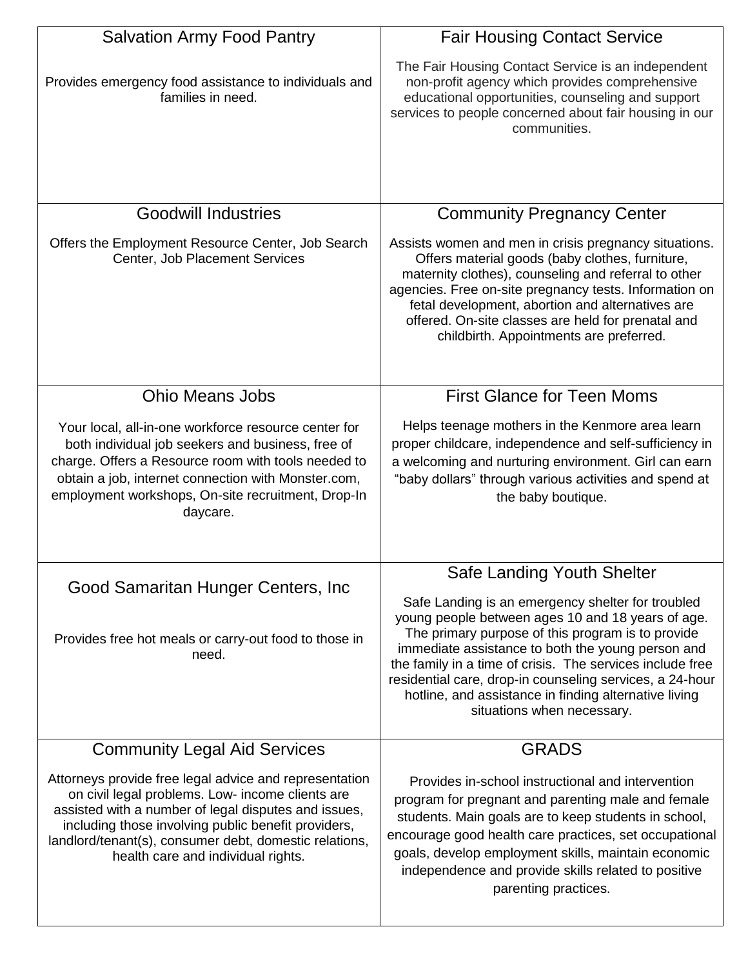| <b>Salvation Army Food Pantry</b>                                                                                                                                                                                                                                                                                         | <b>Fair Housing Contact Service</b>                                                                                                                                                                                                                                                                                                                                                                                                                            |
|---------------------------------------------------------------------------------------------------------------------------------------------------------------------------------------------------------------------------------------------------------------------------------------------------------------------------|----------------------------------------------------------------------------------------------------------------------------------------------------------------------------------------------------------------------------------------------------------------------------------------------------------------------------------------------------------------------------------------------------------------------------------------------------------------|
| Provides emergency food assistance to individuals and<br>families in need.                                                                                                                                                                                                                                                | The Fair Housing Contact Service is an independent<br>non-profit agency which provides comprehensive<br>educational opportunities, counseling and support<br>services to people concerned about fair housing in our<br>communities.                                                                                                                                                                                                                            |
| <b>Goodwill Industries</b>                                                                                                                                                                                                                                                                                                | <b>Community Pregnancy Center</b>                                                                                                                                                                                                                                                                                                                                                                                                                              |
| Offers the Employment Resource Center, Job Search<br>Center, Job Placement Services                                                                                                                                                                                                                                       | Assists women and men in crisis pregnancy situations.<br>Offers material goods (baby clothes, furniture,<br>maternity clothes), counseling and referral to other<br>agencies. Free on-site pregnancy tests. Information on<br>fetal development, abortion and alternatives are<br>offered. On-site classes are held for prenatal and<br>childbirth. Appointments are preferred.                                                                                |
| <b>Ohio Means Jobs</b>                                                                                                                                                                                                                                                                                                    | <b>First Glance for Teen Moms</b>                                                                                                                                                                                                                                                                                                                                                                                                                              |
| Your local, all-in-one workforce resource center for<br>both individual job seekers and business, free of<br>charge. Offers a Resource room with tools needed to<br>obtain a job, internet connection with Monster.com,<br>employment workshops, On-site recruitment, Drop-In<br>daycare.                                 | Helps teenage mothers in the Kenmore area learn<br>proper childcare, independence and self-sufficiency in<br>a welcoming and nurturing environment. Girl can earn<br>"baby dollars" through various activities and spend at<br>the baby boutique.                                                                                                                                                                                                              |
| Good Samaritan Hunger Centers, Inc.<br>Provides free hot meals or carry-out food to those in<br>need.                                                                                                                                                                                                                     | Safe Landing Youth Shelter<br>Safe Landing is an emergency shelter for troubled<br>young people between ages 10 and 18 years of age.<br>The primary purpose of this program is to provide<br>immediate assistance to both the young person and<br>the family in a time of crisis. The services include free<br>residential care, drop-in counseling services, a 24-hour<br>hotline, and assistance in finding alternative living<br>situations when necessary. |
| <b>Community Legal Aid Services</b>                                                                                                                                                                                                                                                                                       | <b>GRADS</b>                                                                                                                                                                                                                                                                                                                                                                                                                                                   |
| Attorneys provide free legal advice and representation<br>on civil legal problems. Low- income clients are<br>assisted with a number of legal disputes and issues,<br>including those involving public benefit providers,<br>landlord/tenant(s), consumer debt, domestic relations,<br>health care and individual rights. | Provides in-school instructional and intervention<br>program for pregnant and parenting male and female<br>students. Main goals are to keep students in school,<br>encourage good health care practices, set occupational<br>goals, develop employment skills, maintain economic<br>independence and provide skills related to positive<br>parenting practices.                                                                                                |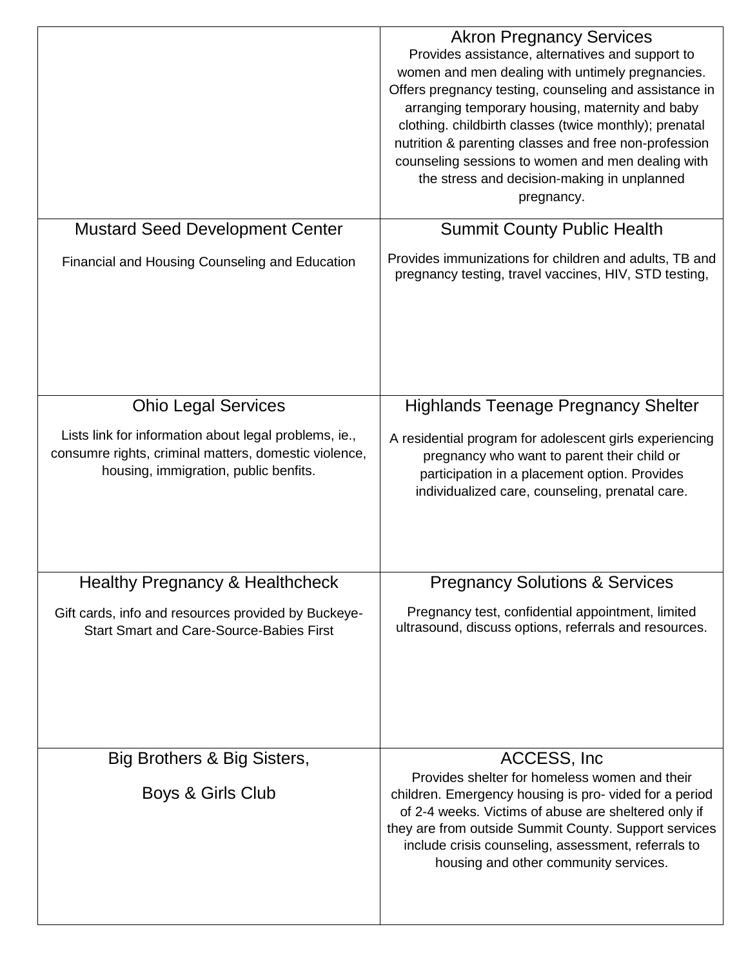|                                                                                                                                                         | <b>Akron Pregnancy Services</b><br>Provides assistance, alternatives and support to<br>women and men dealing with untimely pregnancies.<br>Offers pregnancy testing, counseling and assistance in<br>arranging temporary housing, maternity and baby<br>clothing. childbirth classes (twice monthly); prenatal<br>nutrition & parenting classes and free non-profession<br>counseling sessions to women and men dealing with<br>the stress and decision-making in unplanned<br>pregnancy. |
|---------------------------------------------------------------------------------------------------------------------------------------------------------|-------------------------------------------------------------------------------------------------------------------------------------------------------------------------------------------------------------------------------------------------------------------------------------------------------------------------------------------------------------------------------------------------------------------------------------------------------------------------------------------|
| <b>Mustard Seed Development Center</b>                                                                                                                  | <b>Summit County Public Health</b>                                                                                                                                                                                                                                                                                                                                                                                                                                                        |
| Financial and Housing Counseling and Education                                                                                                          | Provides immunizations for children and adults, TB and<br>pregnancy testing, travel vaccines, HIV, STD testing,                                                                                                                                                                                                                                                                                                                                                                           |
| <b>Ohio Legal Services</b>                                                                                                                              | <b>Highlands Teenage Pregnancy Shelter</b>                                                                                                                                                                                                                                                                                                                                                                                                                                                |
| Lists link for information about legal problems, ie.,<br>consumre rights, criminal matters, domestic violence,<br>housing, immigration, public benfits. | A residential program for adolescent girls experiencing<br>pregnancy who want to parent their child or<br>participation in a placement option. Provides<br>individualized care, counseling, prenatal care.                                                                                                                                                                                                                                                                                |
| <b>Healthy Pregnancy &amp; Healthcheck</b>                                                                                                              | <b>Pregnancy Solutions &amp; Services</b>                                                                                                                                                                                                                                                                                                                                                                                                                                                 |
| Gift cards, info and resources provided by Buckeye-<br><b>Start Smart and Care-Source-Babies First</b>                                                  | Pregnancy test, confidential appointment, limited<br>ultrasound, discuss options, referrals and resources.                                                                                                                                                                                                                                                                                                                                                                                |
| Big Brothers & Big Sisters,                                                                                                                             | ACCESS, Inc.                                                                                                                                                                                                                                                                                                                                                                                                                                                                              |
| Boys & Girls Club                                                                                                                                       | Provides shelter for homeless women and their<br>children. Emergency housing is pro-vided for a period<br>of 2-4 weeks. Victims of abuse are sheltered only if<br>they are from outside Summit County. Support services<br>include crisis counseling, assessment, referrals to<br>housing and other community services.                                                                                                                                                                   |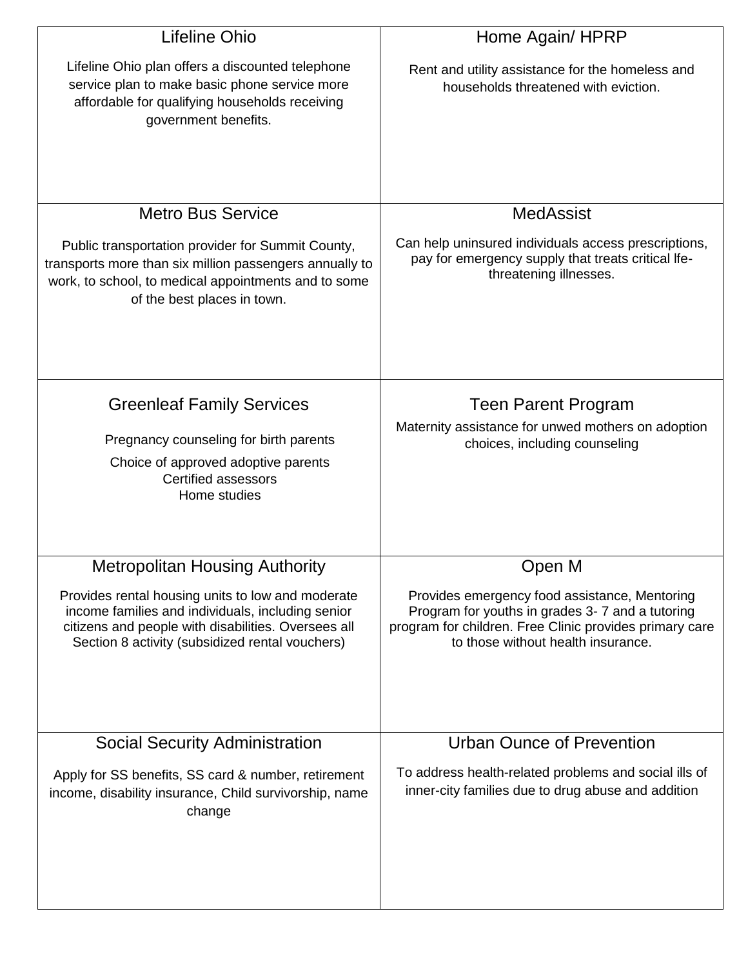| <b>Lifeline Ohio</b>                                                                                                                                                                                             | Home Again/HPRP                                                                                                                                                                                   |
|------------------------------------------------------------------------------------------------------------------------------------------------------------------------------------------------------------------|---------------------------------------------------------------------------------------------------------------------------------------------------------------------------------------------------|
| Lifeline Ohio plan offers a discounted telephone<br>service plan to make basic phone service more<br>affordable for qualifying households receiving<br>government benefits.                                      | Rent and utility assistance for the homeless and<br>households threatened with eviction.                                                                                                          |
| <b>Metro Bus Service</b>                                                                                                                                                                                         | <b>MedAssist</b>                                                                                                                                                                                  |
| Public transportation provider for Summit County,<br>transports more than six million passengers annually to<br>work, to school, to medical appointments and to some<br>of the best places in town.              | Can help uninsured individuals access prescriptions,<br>pay for emergency supply that treats critical Ife-<br>threatening illnesses.                                                              |
| <b>Greenleaf Family Services</b>                                                                                                                                                                                 | <b>Teen Parent Program</b>                                                                                                                                                                        |
|                                                                                                                                                                                                                  | Maternity assistance for unwed mothers on adoption                                                                                                                                                |
| Pregnancy counseling for birth parents<br>Choice of approved adoptive parents<br><b>Certified assessors</b><br>Home studies                                                                                      | choices, including counseling                                                                                                                                                                     |
| <b>Metropolitan Housing Authority</b>                                                                                                                                                                            | Open M                                                                                                                                                                                            |
| Provides rental housing units to low and moderate<br>income families and individuals, including senior<br>citizens and people with disabilities. Oversees all<br>Section 8 activity (subsidized rental vouchers) | Provides emergency food assistance, Mentoring<br>Program for youths in grades 3-7 and a tutoring<br>program for children. Free Clinic provides primary care<br>to those without health insurance. |
| <b>Social Security Administration</b>                                                                                                                                                                            | Urban Ounce of Prevention                                                                                                                                                                         |
| Apply for SS benefits, SS card & number, retirement<br>income, disability insurance, Child survivorship, name<br>change                                                                                          | To address health-related problems and social ills of<br>inner-city families due to drug abuse and addition                                                                                       |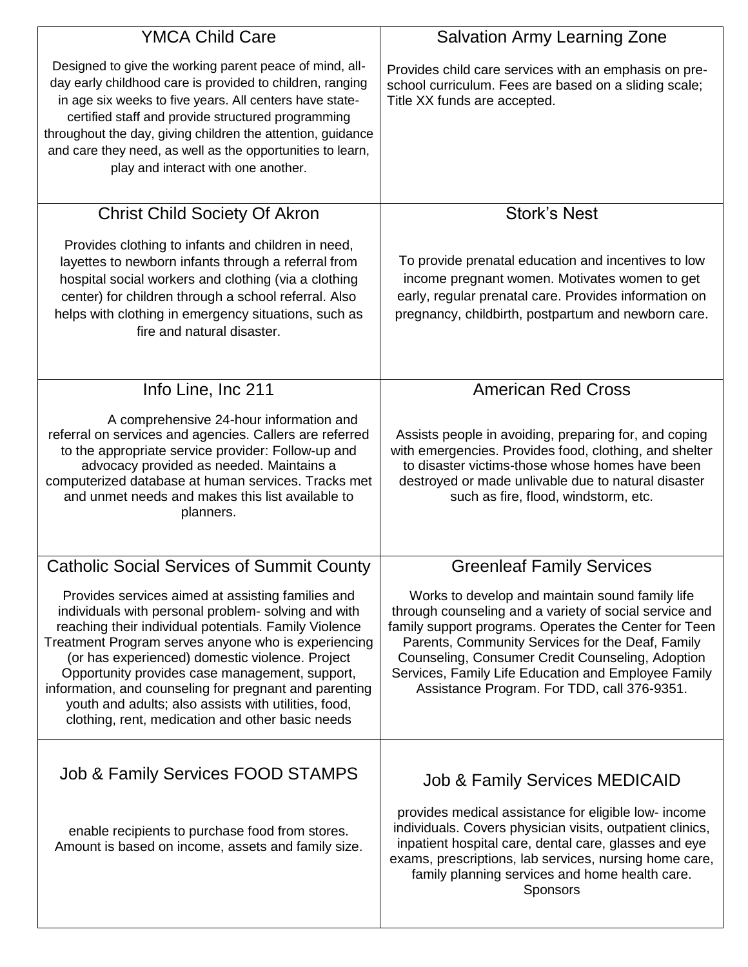| <b>YMCA Child Care</b>                                                                                                                                                                                                                                                                                                                                                                                                                                                                             | <b>Salvation Army Learning Zone</b>                                                                                                                                                                                                                                                                                                                                              |
|----------------------------------------------------------------------------------------------------------------------------------------------------------------------------------------------------------------------------------------------------------------------------------------------------------------------------------------------------------------------------------------------------------------------------------------------------------------------------------------------------|----------------------------------------------------------------------------------------------------------------------------------------------------------------------------------------------------------------------------------------------------------------------------------------------------------------------------------------------------------------------------------|
| Designed to give the working parent peace of mind, all-<br>day early childhood care is provided to children, ranging<br>in age six weeks to five years. All centers have state-<br>certified staff and provide structured programming<br>throughout the day, giving children the attention, guidance<br>and care they need, as well as the opportunities to learn,<br>play and interact with one another.                                                                                          | Provides child care services with an emphasis on pre-<br>school curriculum. Fees are based on a sliding scale;<br>Title XX funds are accepted.                                                                                                                                                                                                                                   |
| <b>Christ Child Society Of Akron</b>                                                                                                                                                                                                                                                                                                                                                                                                                                                               | <b>Stork's Nest</b>                                                                                                                                                                                                                                                                                                                                                              |
| Provides clothing to infants and children in need,<br>layettes to newborn infants through a referral from<br>hospital social workers and clothing (via a clothing<br>center) for children through a school referral. Also<br>helps with clothing in emergency situations, such as<br>fire and natural disaster.                                                                                                                                                                                    | To provide prenatal education and incentives to low<br>income pregnant women. Motivates women to get<br>early, regular prenatal care. Provides information on<br>pregnancy, childbirth, postpartum and newborn care.                                                                                                                                                             |
| Info Line, Inc 211                                                                                                                                                                                                                                                                                                                                                                                                                                                                                 | <b>American Red Cross</b>                                                                                                                                                                                                                                                                                                                                                        |
| A comprehensive 24-hour information and<br>referral on services and agencies. Callers are referred<br>to the appropriate service provider: Follow-up and<br>advocacy provided as needed. Maintains a<br>computerized database at human services. Tracks met<br>and unmet needs and makes this list available to<br>planners.                                                                                                                                                                       | Assists people in avoiding, preparing for, and coping<br>with emergencies. Provides food, clothing, and shelter<br>to disaster victims-those whose homes have been<br>destroyed or made unlivable due to natural disaster<br>such as fire, flood, windstorm, etc.                                                                                                                |
| <b>Catholic Social Services of Summit County</b>                                                                                                                                                                                                                                                                                                                                                                                                                                                   | <b>Greenleaf Family Services</b>                                                                                                                                                                                                                                                                                                                                                 |
| Provides services aimed at assisting families and<br>individuals with personal problem-solving and with<br>reaching their individual potentials. Family Violence<br>Treatment Program serves anyone who is experiencing<br>(or has experienced) domestic violence. Project<br>Opportunity provides case management, support,<br>information, and counseling for pregnant and parenting<br>youth and adults; also assists with utilities, food,<br>clothing, rent, medication and other basic needs | Works to develop and maintain sound family life<br>through counseling and a variety of social service and<br>family support programs. Operates the Center for Teen<br>Parents, Community Services for the Deaf, Family<br>Counseling, Consumer Credit Counseling, Adoption<br>Services, Family Life Education and Employee Family<br>Assistance Program. For TDD, call 376-9351. |
| Job & Family Services FOOD STAMPS                                                                                                                                                                                                                                                                                                                                                                                                                                                                  | Job & Family Services MEDICAID                                                                                                                                                                                                                                                                                                                                                   |
| enable recipients to purchase food from stores.<br>Amount is based on income, assets and family size.                                                                                                                                                                                                                                                                                                                                                                                              | provides medical assistance for eligible low- income<br>individuals. Covers physician visits, outpatient clinics,<br>inpatient hospital care, dental care, glasses and eye<br>exams, prescriptions, lab services, nursing home care,<br>family planning services and home health care.<br>Sponsors                                                                               |